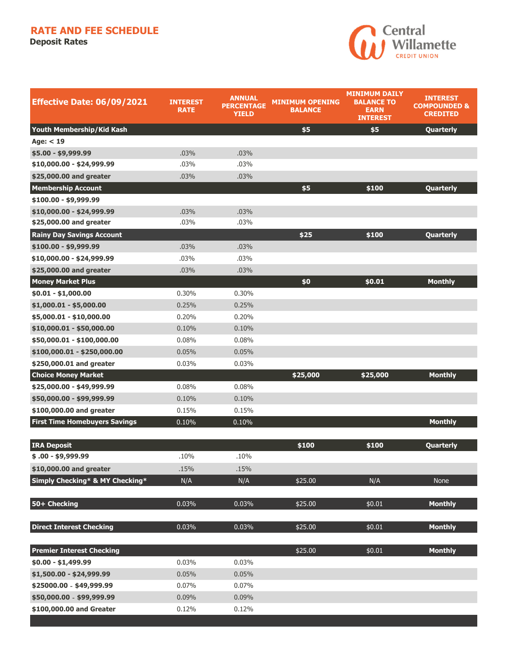## **RATE AND FEE SCHEDULE**

**Deposit Rates** 



| <b>Effective Date: 06/09/2021</b>    | <b>INTEREST</b><br>RATE | <b>ANNUAL</b><br><b>PERCENTAGE</b><br><b>YIELD</b> | <b>MINIMUM OPENING</b><br><b>BALANCE</b> | <b>MINIMUM DAILY</b><br><b>BALANCE TO</b><br><b>EARN</b><br><b>INTEREST</b> | <b>INTEREST</b><br><b>COMPOUNDED &amp;</b><br><b>CREDITED</b> |
|--------------------------------------|-------------------------|----------------------------------------------------|------------------------------------------|-----------------------------------------------------------------------------|---------------------------------------------------------------|
| Youth Membership/Kid Kash            |                         |                                                    | \$5                                      | \$5                                                                         | Quarterly                                                     |
| Age: $<$ 19                          |                         |                                                    |                                          |                                                                             |                                                               |
| $$5.00 - $9,999.99$                  | .03%                    | .03%                                               |                                          |                                                                             |                                                               |
| $$10,000.00 - $24,999.99$            | .03%                    | .03%                                               |                                          |                                                                             |                                                               |
| \$25,000.00 and greater              | .03%                    | .03%                                               |                                          |                                                                             |                                                               |
| <b>Membership Account</b>            |                         |                                                    | \$5                                      | \$100                                                                       | Quarterly                                                     |
| \$100.00 - \$9,999.99                |                         |                                                    |                                          |                                                                             |                                                               |
| \$10,000.00 - \$24,999.99            | .03%                    | .03%                                               |                                          |                                                                             |                                                               |
| \$25,000.00 and greater              | .03%                    | .03%                                               |                                          |                                                                             |                                                               |
| <b>Rainy Day Savings Account</b>     |                         |                                                    | \$25                                     | \$100                                                                       | Quarterly                                                     |
| $$100.00 - $9,999.99$                | .03%                    | .03%                                               |                                          |                                                                             |                                                               |
| \$10,000.00 - \$24,999.99            | .03%                    | .03%                                               |                                          |                                                                             |                                                               |
| \$25,000.00 and greater              | .03%                    | .03%                                               |                                          |                                                                             |                                                               |
| <b>Money Market Plus</b>             |                         |                                                    | \$0                                      | \$0.01                                                                      | <b>Monthly</b>                                                |
| $$0.01 - $1,000.00$                  | 0.30%                   | 0.30%                                              |                                          |                                                                             |                                                               |
| $$1,000.01 - $5,000.00$              | 0.25%                   | 0.25%                                              |                                          |                                                                             |                                                               |
| \$5,000.01 - \$10,000.00             | 0.20%                   | 0.20%                                              |                                          |                                                                             |                                                               |
| \$10,000.01 - \$50,000.00            | 0.10%                   | 0.10%                                              |                                          |                                                                             |                                                               |
| \$50,000.01 - \$100,000.00           | 0.08%                   | 0.08%                                              |                                          |                                                                             |                                                               |
| \$100,000.01 - \$250,000.00          | 0.05%                   | 0.05%                                              |                                          |                                                                             |                                                               |
| \$250,000.01 and greater             | 0.03%                   | 0.03%                                              |                                          |                                                                             |                                                               |
| <b>Choice Money Market</b>           |                         |                                                    | \$25,000                                 | \$25,000                                                                    | <b>Monthly</b>                                                |
| \$25,000.00 - \$49,999.99            | 0.08%                   | 0.08%                                              |                                          |                                                                             |                                                               |
| \$50,000.00 - \$99,999.99            | 0.10%                   | 0.10%                                              |                                          |                                                                             |                                                               |
| \$100,000.00 and greater             | 0.15%                   | 0.15%                                              |                                          |                                                                             |                                                               |
| <b>First Time Homebuyers Savings</b> | 0.10%                   | 0.10%                                              |                                          |                                                                             | <b>Monthly</b>                                                |
| <b>IRA Deposit</b>                   |                         |                                                    | \$100                                    | \$100                                                                       | Quarterly                                                     |
| $$.00 - $9,999.99$                   | .10%                    | .10%                                               |                                          |                                                                             |                                                               |
| \$10,000.00 and greater              | .15%                    | .15%                                               |                                          |                                                                             |                                                               |
| Simply Checking* & MY Checking*      | N/A                     | N/A                                                | \$25.00                                  | N/A                                                                         | None                                                          |
| 50+ Checking                         | 0.03%                   | 0.03%                                              | \$25.00                                  | \$0.01                                                                      | <b>Monthly</b>                                                |
| <b>Direct Interest Checking</b>      | 0.03%                   | 0.03%                                              | \$25.00                                  | \$0.01                                                                      | <b>Monthly</b>                                                |
| <b>Premier Interest Checking</b>     |                         |                                                    | \$25.00                                  | \$0.01                                                                      | <b>Monthly</b>                                                |
| $$0.00 - $1,499.99$                  | 0.03%                   | 0.03%                                              |                                          |                                                                             |                                                               |
| \$1,500.00 - \$24,999.99             | 0.05%                   | 0.05%                                              |                                          |                                                                             |                                                               |
| \$25000.00 - \$49,999.99             | 0.07%                   | 0.07%                                              |                                          |                                                                             |                                                               |
| \$50,000.00 - \$99,999.99            | 0.09%                   | 0.09%                                              |                                          |                                                                             |                                                               |
| \$100,000.00 and Greater             | 0.12%                   | 0.12%                                              |                                          |                                                                             |                                                               |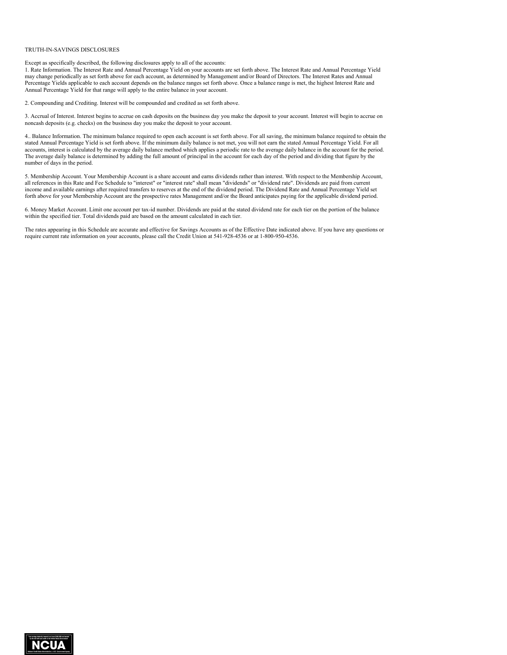## TRUTH-IN-SAVINGS DISCLOSURES

Except as specifically described, the following disclosures apply to all of the accounts:

1. Rate Information. The Interest Rate and Annual Percentage Yield on your accounts are set forth above. The Interest Rate and Annual Percentage Yield may change periodically as set forth above for each account, as determined by Management and/or Board of Directors. The Interest Rates and Annual Percentage Yields applicable to each account depends on the balance ranges set forth above. Once a balance range is met, the highest Interest Rate and Annual Percentage Yield for that range will apply to the entire balance in your account.

2. Compounding and Crediting. Interest will be compounded and credited as set forth above.

3. Accrual of Interest. Interest begins to accrue on cash deposits on the business day you make the deposit to your account. Interest will begin to accrue on noncash deposits (e.g. checks) on the business day you make the deposit to your account.

4.. Balance Information. The minimum balance required to open each account is set forth above. For all saving, the minimum balance required to obtain the stated Annual Percentage Yield is set forth above. If the minimum daily balance is not met, you will not earn the stated Annual Percentage Yield. For all accounts, interest is calculated by the average daily balance method which applies a periodic rate to the average daily balance in the account for the period. The average daily balance is determined by adding the full amount of principal in the account for each day of the period and dividing that figure by the number of days in the period.

5. Membership Account. Your Membership Account is a share account and earns dividends rather than interest. With respect to the Membership Account, all references in this Rate and Fee Schedule to "interest" or "interest rate" shall mean "dividends" or "dividend rate". Dividends are paid from current income and available earnings after required transfers to reserves at the end of the dividend period. The Dividend Rate and Annual Percentage Yield set forth above for your Membership Account are the prospective rates Management and/or the Board anticipates paying for the applicable dividend period.

6. Money Market Account. Limit one account per tax-id number. Dividends are paid at the stated dividend rate for each tier on the portion of the balance within the specified tier. Total dividends paid are based on the amount calculated in each tier.

The rates appearing in this Schedule are accurate and effective for Savings Accounts as of the Effective Date indicated above. If you have any questions or require current rate information on your accounts, please call the Credit Union at 541-928-4536 or at 1-800-950-4536.

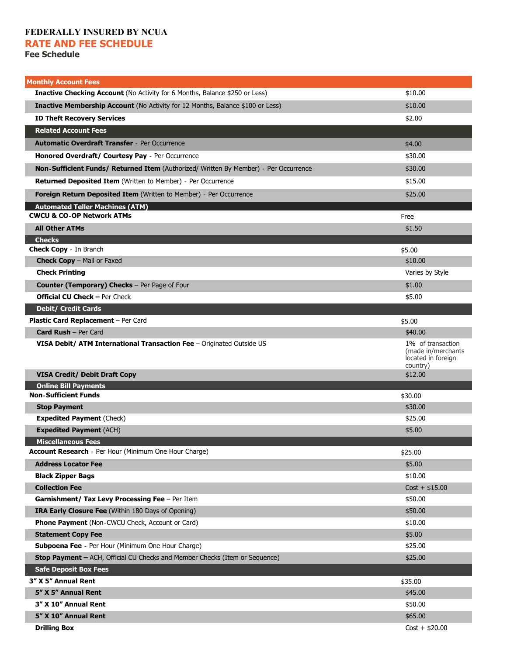## **FEDERALLY INSURED BY NCUA RATE AND FEE SCHEDULE**

**Fee Schedule** 

| <b>Monthly Account Fees</b>                                                           |                                                      |
|---------------------------------------------------------------------------------------|------------------------------------------------------|
| <b>Inactive Checking Account</b> (No Activity for 6 Months, Balance \$250 or Less)    | \$10.00                                              |
| <b>Inactive Membership Account</b> (No Activity for 12 Months, Balance \$100 or Less) | \$10.00                                              |
| <b>ID Theft Recovery Services</b>                                                     | \$2.00                                               |
| <b>Related Account Fees</b>                                                           |                                                      |
| <b>Automatic Overdraft Transfer</b> - Per Occurrence                                  | \$4.00                                               |
| Honored Overdraft/ Courtesy Pay - Per Occurrence                                      | \$30.00                                              |
| Non-Sufficient Funds/ Returned Item (Authorized/ Written By Member) - Per Occurrence  | \$30.00                                              |
| <b>Returned Deposited Item (Written to Member) - Per Occurrence</b>                   | \$15.00                                              |
| <b>Foreign Return Deposited Item (Written to Member) - Per Occurrence</b>             | \$25.00                                              |
| <b>Automated Teller Machines (ATM)</b>                                                |                                                      |
| <b>CWCU &amp; CO-OP Network ATMs</b>                                                  | Free                                                 |
| <b>All Other ATMs</b>                                                                 | \$1.50                                               |
| <b>Checks</b>                                                                         |                                                      |
| <b>Check Copy</b> - In Branch<br>Check Copy - Mail or Faxed                           | \$5.00<br>\$10.00                                    |
| <b>Check Printing</b>                                                                 | Varies by Style                                      |
|                                                                                       |                                                      |
| Counter (Temporary) Checks - Per Page of Four<br><b>Official CU Check - Per Check</b> | \$1.00<br>\$5.00                                     |
| <b>Debit/ Credit Cards</b>                                                            |                                                      |
| Plastic Card Replacement - Per Card                                                   | \$5.00                                               |
| <b>Card Rush - Per Card</b>                                                           | \$40.00                                              |
| VISA Debit/ ATM International Transaction Fee - Originated Outside US                 | 1% of transaction                                    |
|                                                                                       | (made in/merchants<br>located in foreign<br>country) |
| <b>VISA Credit/ Debit Draft Copy</b>                                                  | \$12.00                                              |
| <b>Online Bill Payments</b>                                                           |                                                      |
| <b>Non-Sufficient Funds</b>                                                           | \$30.00                                              |
| <b>Stop Payment</b>                                                                   | \$30.00                                              |
| <b>Expedited Payment (Check)</b>                                                      | \$25.00                                              |
| <b>Expedited Payment (ACH)</b>                                                        | \$5.00                                               |
| <b>Miscellaneous Fees</b><br>Account Research - Per Hour (Minimum One Hour Charge)    | \$25.00                                              |
| <b>Address Locator Fee</b>                                                            | \$5.00                                               |
| <b>Black Zipper Bags</b>                                                              | \$10.00                                              |
| <b>Collection Fee</b>                                                                 | $Cost + $15.00$                                      |
| Garnishment/ Tax Levy Processing Fee - Per Item                                       | \$50.00                                              |
| IRA Early Closure Fee (Within 180 Days of Opening)                                    | \$50.00                                              |
| <b>Phone Payment</b> (Non-CWCU Check, Account or Card)                                | \$10.00                                              |
| <b>Statement Copy Fee</b>                                                             | \$5.00                                               |
| Subpoena Fee - Per Hour (Minimum One Hour Charge)                                     | \$25.00                                              |
| <b>Stop Payment - ACH, Official CU Checks and Member Checks (Item or Sequence)</b>    | \$25.00                                              |
| <b>Safe Deposit Box Fees</b>                                                          |                                                      |
| 3" X 5" Annual Rent                                                                   | \$35.00                                              |
| 5" X 5" Annual Rent                                                                   | \$45.00                                              |
| 3" X 10" Annual Rent                                                                  | \$50.00                                              |
| 5" X 10" Annual Rent                                                                  | \$65.00                                              |
| <b>Drilling Box</b>                                                                   | $Cost + $20.00$                                      |